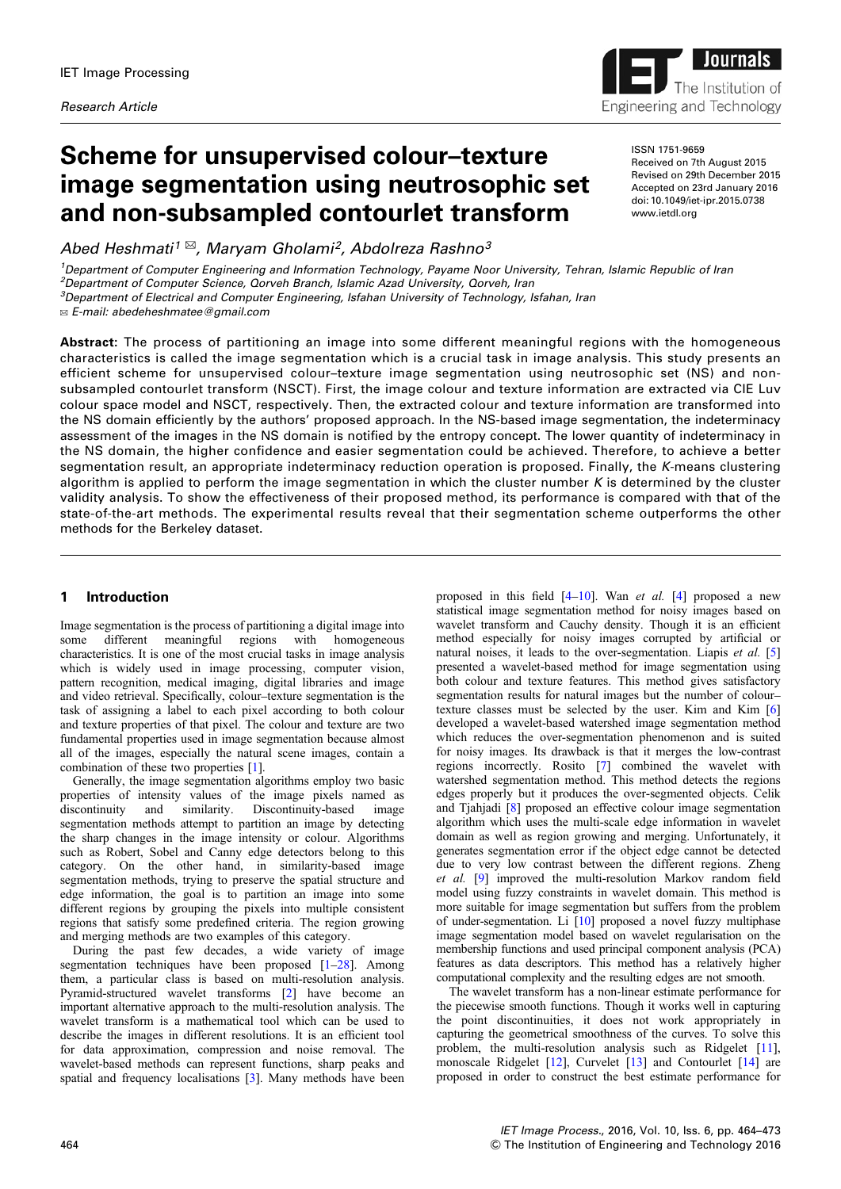

# Scheme for unsupervised colour–texture image segmentation using neutrosophic set and non-subsampled contourlet transform

Abed Heshmati<sup>1</sup>  $\mathbb{Z}$ , Maryam Gholami<sup>2</sup>, Abdolreza Rashno<sup>3</sup>

<sup>1</sup>Department of Computer Engineering and Information Technology, Payame Noor University, Tehran, Islamic Republic of Iran <sup>2</sup>Department of Computer Science, Qorveh Branch, Islamic Azad University, Qorveh, Iran  ${}^{3}$ Department of Electrical and Computer Engineering, Isfahan University of Technology, Isfahan, Iran

✉ E-mail: abedeheshmatee@gmail.com

ISSN 1751-9659 Received on 7th August 2015 Revised on 29th December 2015 Accepted on 23rd January 2016 doi: 10.1049/iet-ipr.2015.0738 www.ietdl.org

Abstract: The process of partitioning an image into some different meaningful regions with the homogeneous characteristics is called the image segmentation which is a crucial task in image analysis. This study presents an efficient scheme for unsupervised colour–texture image segmentation using neutrosophic set (NS) and nonsubsampled contourlet transform (NSCT). First, the image colour and texture information are extracted via CIE Luv colour space model and NSCT, respectively. Then, the extracted colour and texture information are transformed into the NS domain efficiently by the authors' proposed approach. In the NS-based image segmentation, the indeterminacy assessment of the images in the NS domain is notified by the entropy concept. The lower quantity of indeterminacy in the NS domain, the higher confidence and easier segmentation could be achieved. Therefore, to achieve a better segmentation result, an appropriate indeterminacy reduction operation is proposed. Finally, the K-means clustering algorithm is applied to perform the image segmentation in which the cluster number  $K$  is determined by the cluster validity analysis. To show the effectiveness of their proposed method, its performance is compared with that of the state-of-the-art methods. The experimental results reveal that their segmentation scheme outperforms the other methods for the Berkeley dataset.

# 1 Introduction

Image segmentation is the process of partitioning a digital image into<br>some different meaningful regions with homogeneous some different meaningful regions with characteristics. It is one of the most crucial tasks in image analysis which is widely used in image processing, computer vision, pattern recognition, medical imaging, digital libraries and image and video retrieval. Specifically, colour–texture segmentation is the task of assigning a label to each pixel according to both colour and texture properties of that pixel. The colour and texture are two fundamental properties used in image segmentation because almost all of the images, especially the natural scene images, contain a combination of these two properties [1].

Generally, the image segmentation algorithms employ two basic properties of intensity values of the image pixels named as similarity. Discontinuity-based segmentation methods attempt to partition an image by detecting the sharp changes in the image intensity or colour. Algorithms such as Robert, Sobel and Canny edge detectors belong to this category. On the other hand, in similarity-based image segmentation methods, trying to preserve the spatial structure and edge information, the goal is to partition an image into some different regions by grouping the pixels into multiple consistent regions that satisfy some predefined criteria. The region growing and merging methods are two examples of this category.

During the past few decades, a wide variety of image segmentation techniques have been proposed [1–28]. Among them, a particular class is based on multi-resolution analysis. Pyramid-structured wavelet transforms [2] have become an important alternative approach to the multi-resolution analysis. The wavelet transform is a mathematical tool which can be used to describe the images in different resolutions. It is an efficient tool for data approximation, compression and noise removal. The wavelet-based methods can represent functions, sharp peaks and spatial and frequency localisations [3]. Many methods have been

proposed in this field  $[4-10]$ . Wan *et al.* [4] proposed a new statistical image segmentation method for noisy images based on wavelet transform and Cauchy density. Though it is an efficient method especially for noisy images corrupted by artificial or natural noises, it leads to the over-segmentation. Liapis et al. [5] presented a wavelet-based method for image segmentation using both colour and texture features. This method gives satisfactory segmentation results for natural images but the number of colour– texture classes must be selected by the user. Kim and Kim [6] developed a wavelet-based watershed image segmentation method which reduces the over-segmentation phenomenon and is suited for noisy images. Its drawback is that it merges the low-contrast regions incorrectly. Rosito [7] combined the wavelet with watershed segmentation method. This method detects the regions edges properly but it produces the over-segmented objects. Celik and Tjahjadi [8] proposed an effective colour image segmentation algorithm which uses the multi-scale edge information in wavelet domain as well as region growing and merging. Unfortunately, it generates segmentation error if the object edge cannot be detected due to very low contrast between the different regions. Zheng et al. [9] improved the multi-resolution Markov random field model using fuzzy constraints in wavelet domain. This method is more suitable for image segmentation but suffers from the problem of under-segmentation. Li [10] proposed a novel fuzzy multiphase image segmentation model based on wavelet regularisation on the membership functions and used principal component analysis (PCA) features as data descriptors. This method has a relatively higher computational complexity and the resulting edges are not smooth.

The wavelet transform has a non-linear estimate performance for the piecewise smooth functions. Though it works well in capturing the point discontinuities, it does not work appropriately in capturing the geometrical smoothness of the curves. To solve this problem, the multi-resolution analysis such as Ridgelet [11], monoscale Ridgelet [12], Curvelet [13] and Contourlet [14] are proposed in order to construct the best estimate performance for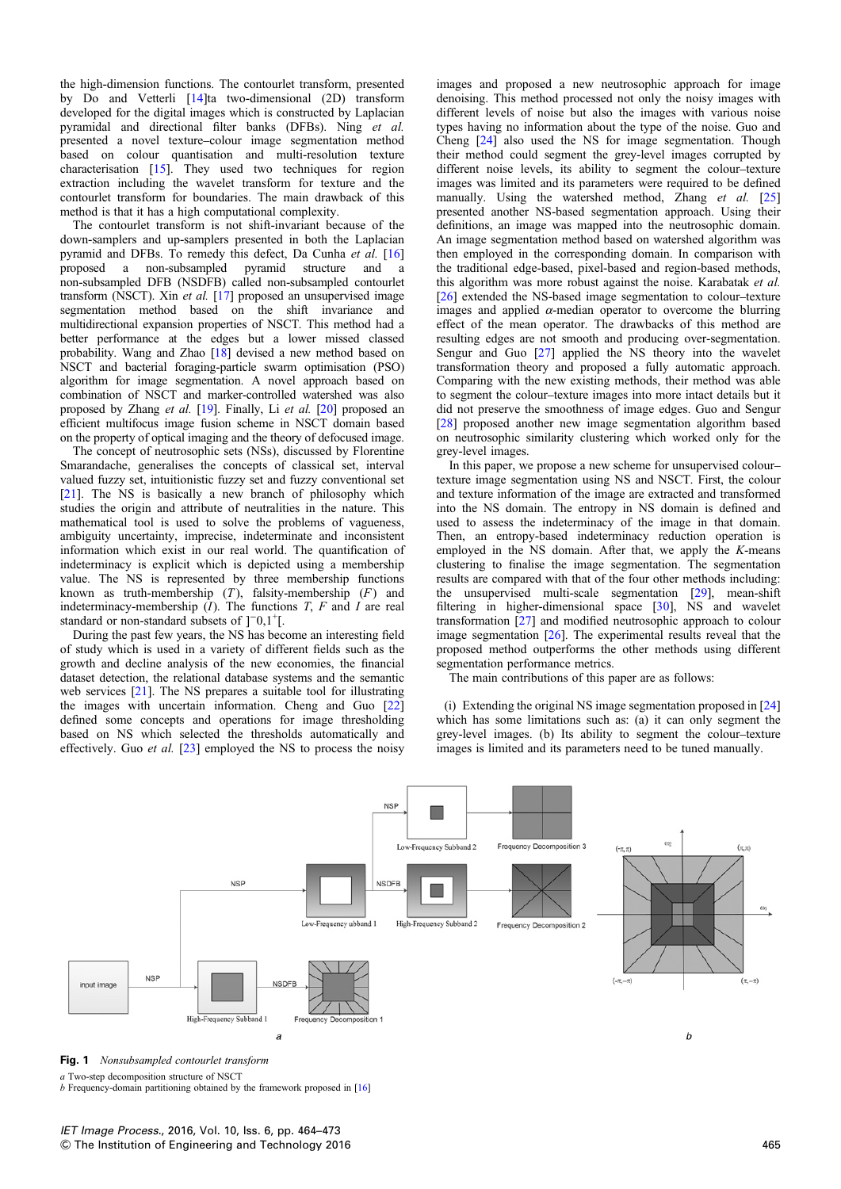the high-dimension functions. The contourlet transform, presented by Do and Vetterli [14]ta two-dimensional (2D) transform developed for the digital images which is constructed by Laplacian pyramidal and directional filter banks (DFBs). Ning et al. presented a novel texture–colour image segmentation method based on colour quantisation and multi-resolution texture characterisation [15]. They used two techniques for region extraction including the wavelet transform for texture and the contourlet transform for boundaries. The main drawback of this method is that it has a high computational complexity.

The contourlet transform is not shift-invariant because of the down-samplers and up-samplers presented in both the Laplacian pyramid and DFBs. To remedy this defect, Da Cunha et al. [16] proposed a non-subsampled pyramid structure and non-subsampled DFB (NSDFB) called non-subsampled contourlet transform (NSCT). Xin et al. [17] proposed an unsupervised image segmentation method based on the shift invariance and multidirectional expansion properties of NSCT. This method had a better performance at the edges but a lower missed classed probability. Wang and Zhao [18] devised a new method based on NSCT and bacterial foraging-particle swarm optimisation (PSO) algorithm for image segmentation. A novel approach based on combination of NSCT and marker-controlled watershed was also proposed by Zhang et al. [19]. Finally, Li et al. [20] proposed an efficient multifocus image fusion scheme in NSCT domain based on the property of optical imaging and the theory of defocused image.

The concept of neutrosophic sets (NSs), discussed by Florentine Smarandache, generalises the concepts of classical set, interval valued fuzzy set, intuitionistic fuzzy set and fuzzy conventional set [21]. The NS is basically a new branch of philosophy which studies the origin and attribute of neutralities in the nature. This mathematical tool is used to solve the problems of vagueness, ambiguity uncertainty, imprecise, indeterminate and inconsistent information which exist in our real world. The quantification of indeterminacy is explicit which is depicted using a membership value. The NS is represented by three membership functions known as truth-membership  $(T)$ , falsity-membership  $(F)$  and indeterminacy-membership  $(I)$ . The functions T, F and I are real standard or non-standard subsets of ]<sup>-</sup>0,1<sup>+</sup>[.

During the past few years, the NS has become an interesting field of study which is used in a variety of different fields such as the growth and decline analysis of the new economies, the financial dataset detection, the relational database systems and the semantic web services [21]. The NS prepares a suitable tool for illustrating the images with uncertain information. Cheng and Guo [22] defined some concepts and operations for image thresholding based on NS which selected the thresholds automatically and effectively. Guo et al. [23] employed the NS to process the noisy

images and proposed a new neutrosophic approach for image denoising. This method processed not only the noisy images with different levels of noise but also the images with various noise types having no information about the type of the noise. Guo and Cheng [24] also used the NS for image segmentation. Though their method could segment the grey-level images corrupted by different noise levels, its ability to segment the colour–texture images was limited and its parameters were required to be defined manually. Using the watershed method, Zhang et al. [25] presented another NS-based segmentation approach. Using their definitions, an image was mapped into the neutrosophic domain. An image segmentation method based on watershed algorithm was then employed in the corresponding domain. In comparison with the traditional edge-based, pixel-based and region-based methods, this algorithm was more robust against the noise. Karabatak et al. [26] extended the NS-based image segmentation to colour–texture images and applied  $\alpha$ -median operator to overcome the blurring effect of the mean operator. The drawbacks of this method are resulting edges are not smooth and producing over-segmentation. Sengur and Guo [27] applied the NS theory into the wavelet transformation theory and proposed a fully automatic approach. Comparing with the new existing methods, their method was able to segment the colour–texture images into more intact details but it did not preserve the smoothness of image edges. Guo and Sengur [28] proposed another new image segmentation algorithm based on neutrosophic similarity clustering which worked only for the grey-level images.

In this paper, we propose a new scheme for unsupervised colour– texture image segmentation using NS and NSCT. First, the colour and texture information of the image are extracted and transformed into the NS domain. The entropy in NS domain is defined and used to assess the indeterminacy of the image in that domain. Then, an entropy-based indeterminacy reduction operation is employed in the NS domain. After that, we apply the K-means clustering to finalise the image segmentation. The segmentation results are compared with that of the four other methods including: the unsupervised multi-scale segmentation [29], mean-shift filtering in higher-dimensional space [30], NS and wavelet transformation [27] and modified neutrosophic approach to colour image segmentation [26]. The experimental results reveal that the proposed method outperforms the other methods using different segmentation performance metrics.

The main contributions of this paper are as follows:

(i) Extending the original NS image segmentation proposed in [24] which has some limitations such as: (a) it can only segment the grey-level images. (b) Its ability to segment the colour–texture images is limited and its parameters need to be tuned manually.





a Two-step decomposition structure of NSCT

b Frequency-domain partitioning obtained by the framework proposed in [16]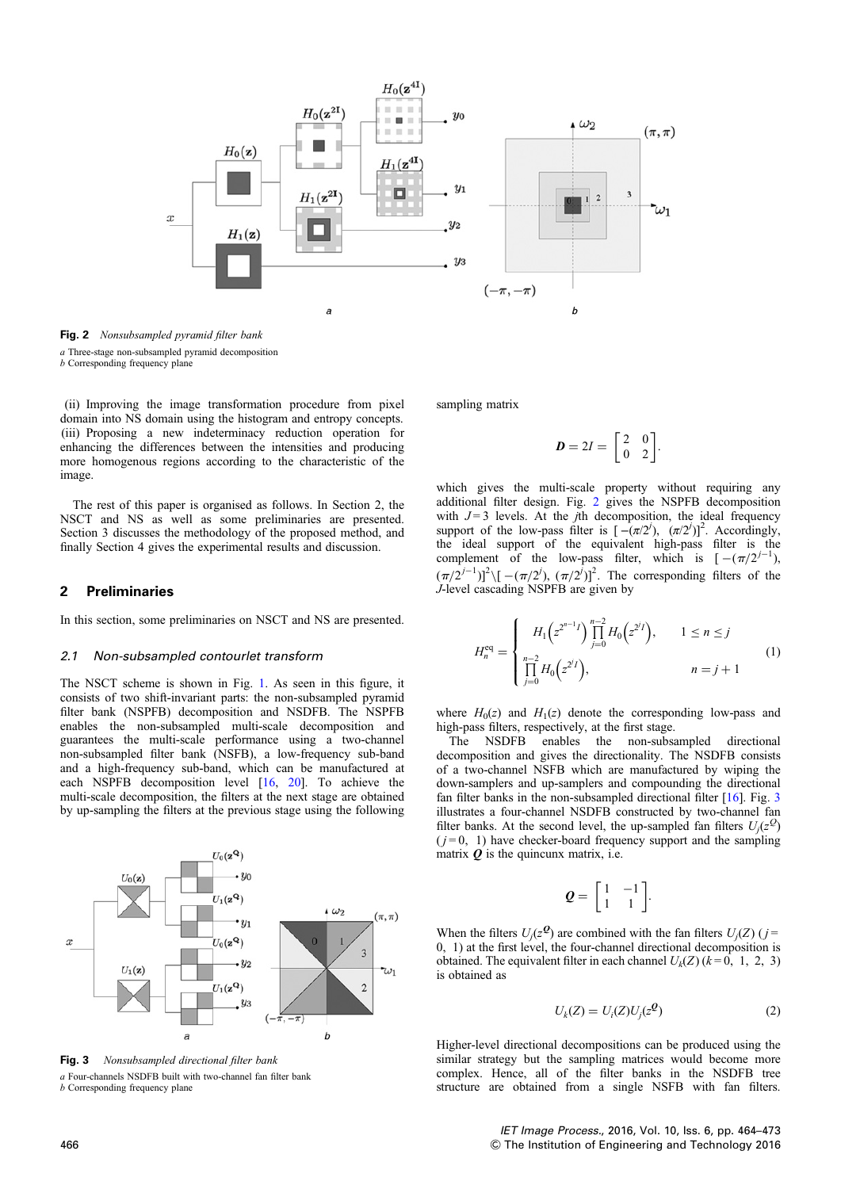

Fig. 2 Nonsubsampled pyramid filter bank a Three-stage non-subsampled pyramid decomposition b Corresponding frequency plane

(ii) Improving the image transformation procedure from pixel domain into NS domain using the histogram and entropy concepts. (iii) Proposing a new indeterminacy reduction operation for enhancing the differences between the intensities and producing more homogenous regions according to the characteristic of the image.

The rest of this paper is organised as follows. In Section 2, the NSCT and NS as well as some preliminaries are presented. Section 3 discusses the methodology of the proposed method, and finally Section 4 gives the experimental results and discussion.

### 2 Preliminaries

In this section, some preliminaries on NSCT and NS are presented.

#### 2.1 Non-subsampled contourlet transform

The NSCT scheme is shown in Fig. 1. As seen in this figure, it consists of two shift-invariant parts: the non-subsampled pyramid filter bank (NSPFB) decomposition and NSDFB. The NSPFB enables the non-subsampled multi-scale decomposition and guarantees the multi-scale performance using a two-channel non-subsampled filter bank (NSFB), a low-frequency sub-band and a high-frequency sub-band, which can be manufactured at each NSPFB decomposition level [16, 20]. To achieve the multi-scale decomposition, the filters at the next stage are obtained by up-sampling the filters at the previous stage using the following



Fig. 3 Nonsubsampled directional filter bank a Four-channels NSDFB built with two-channel fan filter bank b Corresponding frequency plane

sampling matrix

$$
D = 2I = \begin{bmatrix} 2 & 0 \\ 0 & 2 \end{bmatrix}.
$$

which gives the multi-scale property without requiring any additional filter design. Fig. 2 gives the NSPFB decomposition with  $J = 3$  levels. At the *j*th decomposition, the ideal frequency support of the low-pass filter is  $[-(\pi/2^i), (\pi/2^i)]^2$ . Accordingly, the ideal support of the equivalent high-pass filter is the complement of the low-pass filter, which is  $[-(\pi/2^{j-1}),$  $(\pi/2^{j-1})^2$  |  $[-(\pi/2^j), (\pi/2^j)]^2$ . The corresponding filters of the J-level cascading NSPFB are given by

$$
H_n^{\text{eq}} = \begin{cases} H_1(z^{2^{n-1}I}) \prod_{j=0}^{n-2} H_0(z^{2^jI}), & 1 \le n \le j \\ \prod_{j=0}^{n-2} H_0(z^{2^jI}), & n = j+1 \end{cases} (1)
$$

where  $H_0(z)$  and  $H_1(z)$  denote the corresponding low-pass and high-pass filters, respectively, at the first stage.

The NSDFB enables the non-subsampled directional decomposition and gives the directionality. The NSDFB consists of a two-channel NSFB which are manufactured by wiping the down-samplers and up-samplers and compounding the directional fan filter banks in the non-subsampled directional filter  $[16]$ . Fig. 3 illustrates a four-channel NSDFB constructed by two-channel fan filter banks. At the second level, the up-sampled fan filters  $U_j(z^Q)$  $(j=0, 1)$  have checker-board frequency support and the sampling matrix  $Q$  is the quincunx matrix, i.e.

$$
\mathbf{Q} = \begin{bmatrix} 1 & -1 \\ 1 & 1 \end{bmatrix}.
$$

When the filters  $U_j(z^{\mathcal{Q}})$  are combined with the fan filters  $U_j(Z)$  (j= 0, 1) at the first level, the four-channel directional decomposition is obtained. The equivalent filter in each channel  $U_k(Z)$  ( $k=0, 1, 2, 3$ ) is obtained as

$$
U_k(Z) = U_i(Z)U_j(z^{\mathcal{Q}})
$$
\n<sup>(2)</sup>

Higher-level directional decompositions can be produced using the similar strategy but the sampling matrices would become more complex. Hence, all of the filter banks in the NSDFB tree structure are obtained from a single NSFB with fan filters.

IET Image Process., 2016, Vol. 10, Iss. 6, pp. 464–473 466 & The Institution of Engineering and Technology 2016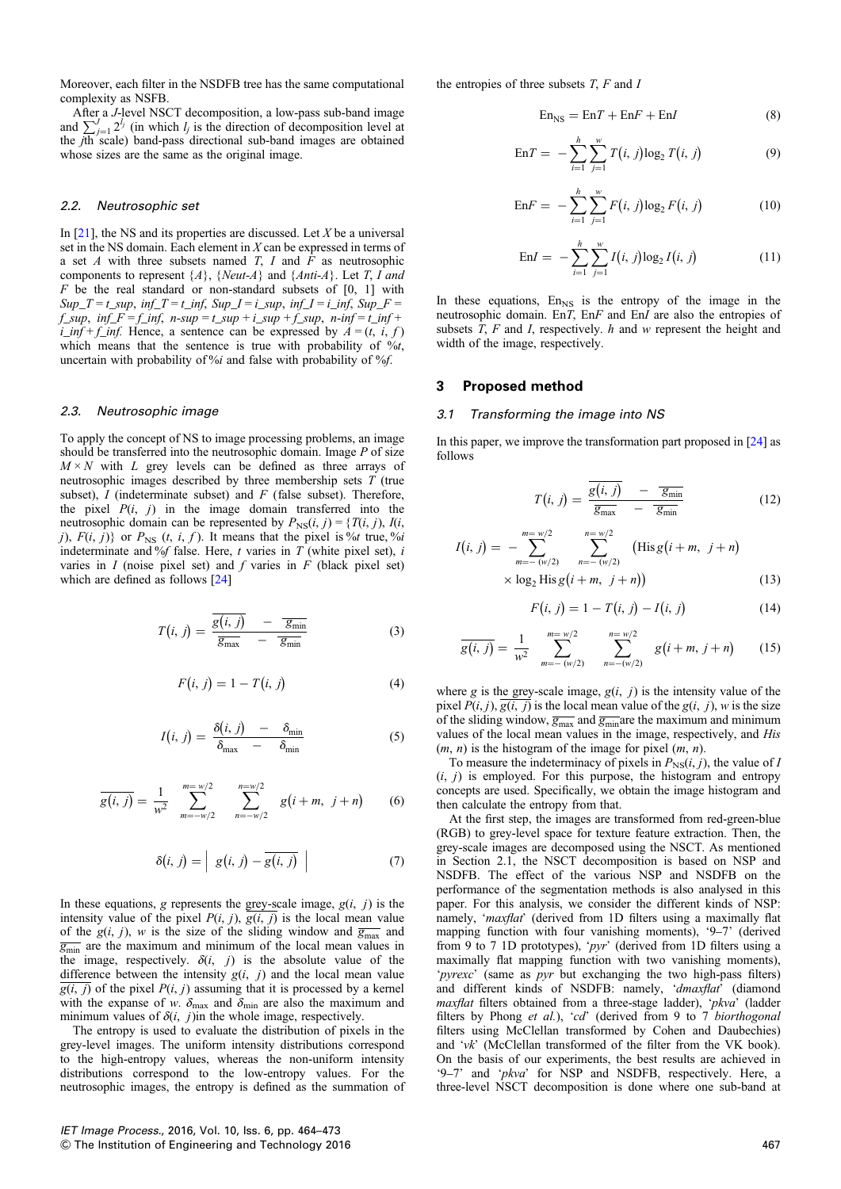Moreover, each filter in the NSDFB tree has the same computational complexity as NSFB.

After a J-level NSCT decomposition, a low-pass sub-band image and  $\sum_{j=1}^{J} 2^{l_j}$  (in which  $l_j$  is the direction of decomposition level at the jth scale) band-pass directional sub-band images are obtained whose sizes are the same as the original image.

#### 2.2. Neutrosophic set

In  $[21]$ , the NS and its properties are discussed. Let X be a universal set in the NS domain. Each element in  $X$  can be expressed in terms of a set  $A$  with three subsets named  $T$ ,  $I$  and  $\overline{F}$  as neutrosophic components to represent  $\{A\}$ ,  $\{Neut-A\}$  and  $\{Anti-A\}$ . Let T, I and  $F$  be the real standard or non-standard subsets of  $[0, 1]$  with  $Sup\_T = t\_sup$ ,  $inf\_T = t\_inf$ ,  $Sup\_I = i\_sup$ ,  $inf\_I = i\_inf$ ,  $Sup\_F =$ f\_sup,  $inf_F = f_inf$ ,  $n-sup = t_sup + i_sup + f_sup$ ,  $n-inf = t_inf +$  $i\_inf + f\_inf$ . Hence, a sentence can be expressed by  $A = (t, i, f)$ which means that the sentence is true with probability of  $\%$ t, uncertain with probability of %i and false with probability of %f.

#### 2.3. Neutrosophic image

To apply the concept of NS to image processing problems, an image should be transferred into the neutrosophic domain. Image  $P$  of size  $M \times N$  with L grey levels can be defined as three arrays of neutrosophic images described by three membership sets  $T$  (true subset),  $I$  (indeterminate subset) and  $F$  (false subset). Therefore, the pixel  $P(i, j)$  in the image domain transferred into the neutrosophic domain can be represented by  $P_{NS}(i, j) = \{T(i, j), I(i, j)\}$ j),  $F(i, j)$  or  $P_{\text{NS}}(t, i, f)$ . It means that the pixel is %t true, %i indeterminate and % $f$  false. Here, t varies in  $T$  (white pixel set), i varies in  $I$  (noise pixel set) and  $f$  varies in  $F$  (black pixel set) which are defined as follows [24]

$$
T(i, j) = \frac{\overline{g(i, j)}}{\overline{g_{\max}}} - \frac{\overline{g_{\min}}}{\overline{g_{\min}}} \tag{3}
$$

$$
F(i, j) = 1 - T(i, j)
$$
 (4)

$$
I(i, j) = \frac{\delta(i, j)}{\delta_{\max} - \delta_{\min}}
$$
 (5)

$$
\overline{g(i,j)} = \frac{1}{w^2} \sum_{m=-w/2}^{m=w/2} \sum_{n=-w/2}^{w=w/2} g(i+m, j+n) \qquad (6)
$$

$$
\delta(i, j) = \left| g(i, j) - \overline{g(i, j)} \right| \tag{7}
$$

In these equations, g represents the grey-scale image,  $g(i, j)$  is the intensity value of the pixel  $P(i, j)$ ,  $\overline{g(i, j)}$  is the local mean value of the  $g(i, j)$ , w is the size of the sliding window and  $\overline{g_{\text{max}}}$  and  $\overline{g_{\min}}$  are the maximum and minimum of the local mean values in the image, respectively.  $\delta(i, j)$  is the absolute value of the difference between the intensity  $g(i, j)$  and the local mean value  $\overline{g(i, j)}$  of the pixel  $P(i, j)$  assuming that it is processed by a kernel with the expanse of w.  $\delta_{\text{max}}$  and  $\delta_{\text{min}}$  are also the maximum and minimum values of  $\delta(i, j)$  in the whole image, respectively.

The entropy is used to evaluate the distribution of pixels in the grey-level images. The uniform intensity distributions correspond to the high-entropy values, whereas the non-uniform intensity distributions correspond to the low-entropy values. For the neutrosophic images, the entropy is defined as the summation of the entropies of three subsets  $T$ ,  $F$  and  $I$ 

$$
EnNS = EnT + EnF + EnI
$$
 (8)

En
$$
EnT = -\sum_{i=1}^{h} \sum_{j=1}^{w} T(i, j) \log_2 T(i, j)
$$
 (9)

$$
EnF = -\sum_{i=1}^{h} \sum_{j=1}^{w} F(i, j) \log_2 F(i, j)
$$
 (10)

$$
EnI = -\sum_{i=1}^{h} \sum_{j=1}^{w} I(i, j) \log_2 I(i, j)
$$
 (11)

In these equations,  $En<sub>NS</sub>$  is the entropy of the image in the neutrosophic domain. EnT, EnF and EnI are also the entropies of subsets  $T$ ,  $F$  and  $I$ , respectively.  $h$  and  $w$  represent the height and width of the image, respectively.

#### 3 Proposed method

#### 3.1 Transforming the image into NS

In this paper, we improve the transformation part proposed in [24] as follows

$$
T(i, j) = \frac{\overline{g(i, j)}}{\overline{g_{\text{max}}}} - \frac{\overline{g_{\text{min}}}}{\overline{g_{\text{min}}}}
$$
(12)

$$
I(i, j) = -\sum_{m=- (w/2)}^{m=w/2} \sum_{n=-(w/2)}^{n=w/2} \text{(His } g(i+m, j+n) \times \log_2 \text{His } g(i+m, j+n)) \tag{13}
$$

$$
F(i, j) = 1 - T(i, j) - I(i, j)
$$
\n(14)

$$
\overline{g(i,j)} = \frac{1}{w^2} \sum_{m=-\,(w/2)}^{m=w/2} \sum_{n=-(w/2)}^{n=w/2} g(i+m, j+n) \qquad (15)
$$

where g is the grey-scale image,  $g(i, j)$  is the intensity value of the pixel  $P(i, j)$ ,  $\overline{g(i, j)}$  is the local mean value of the  $g(i, j)$ , w is the size of the sliding window,  $\overline{g_{\text{max}}}$  and  $\overline{g_{\text{min}}}$  are the maximum and minimum values of the local mean values in the image, respectively, and His  $(m, n)$  is the histogram of the image for pixel  $(m, n)$ .

To measure the indeterminacy of pixels in  $P_{\text{NS}}(i, j)$ , the value of I  $(i, j)$  is employed. For this purpose, the histogram and entropy concepts are used. Specifically, we obtain the image histogram and then calculate the entropy from that.

At the first step, the images are transformed from red-green-blue (RGB) to grey-level space for texture feature extraction. Then, the grey-scale images are decomposed using the NSCT. As mentioned in Section 2.1, the NSCT decomposition is based on NSP and NSDFB. The effect of the various NSP and NSDFB on the performance of the segmentation methods is also analysed in this paper. For this analysis, we consider the different kinds of NSP: namely, 'maxflat' (derived from 1D filters using a maximally flat mapping function with four vanishing moments), '9–7' (derived from 9 to 7 1D prototypes), 'pyr' (derived from 1D filters using a maximally flat mapping function with two vanishing moments), 'pyrexc' (same as pyr but exchanging the two high-pass filters) and different kinds of NSDFB: namely, 'dmaxflat' (diamond maxflat filters obtained from a three-stage ladder), 'pkva' (ladder filters by Phong et al.), 'cd' (derived from 9 to 7 biorthogonal filters using McClellan transformed by Cohen and Daubechies) and 'vk' (McClellan transformed of the filter from the VK book). On the basis of our experiments, the best results are achieved in '9–7' and 'pkva' for NSP and NSDFB, respectively. Here, a three-level NSCT decomposition is done where one sub-band at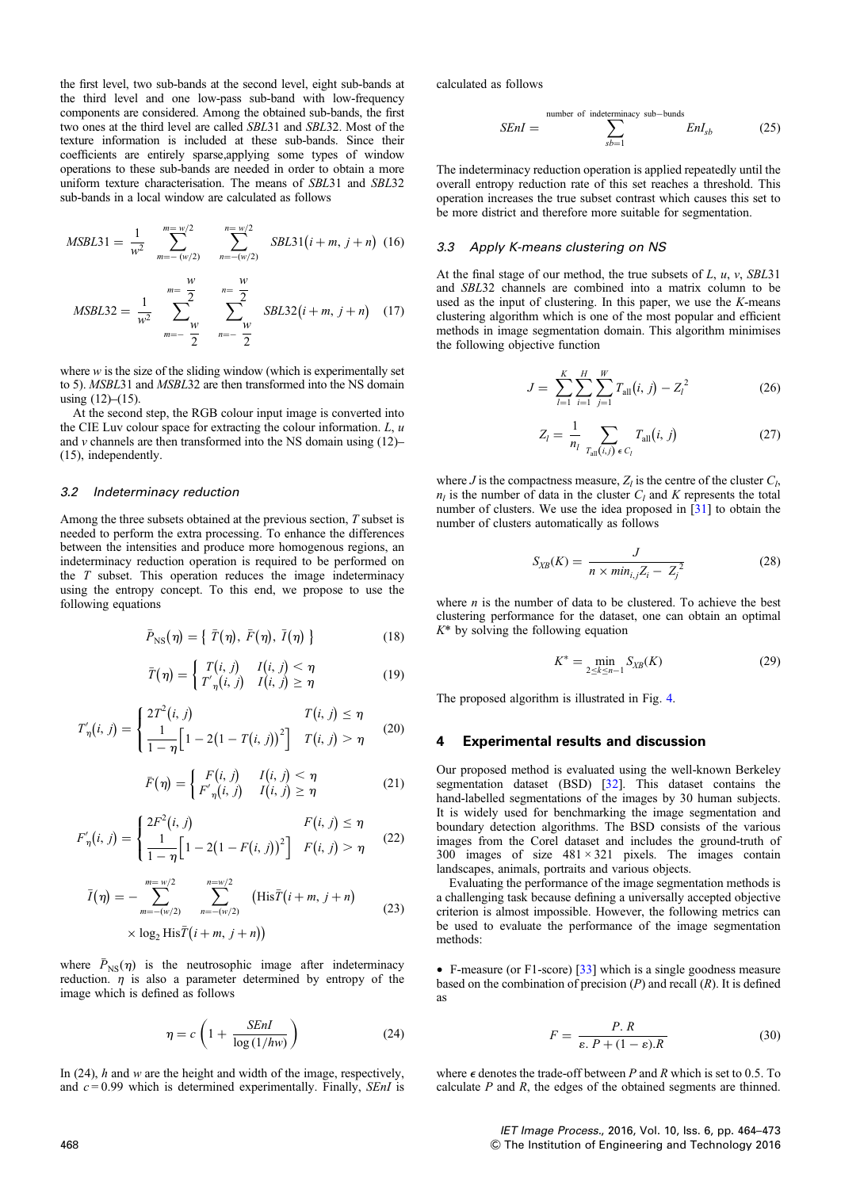the first level, two sub-bands at the second level, eight sub-bands at the third level and one low-pass sub-band with low-frequency components are considered. Among the obtained sub-bands, the first two ones at the third level are called SBL31 and SBL32. Most of the texture information is included at these sub-bands. Since their coefficients are entirely sparse,applying some types of window operations to these sub-bands are needed in order to obtain a more uniform texture characterisation. The means of SBL31 and SBL32 sub-bands in a local window are calculated as follows

$$
MSBL31 = \frac{1}{w^2} \sum_{m=-\left(w/2\right)}^{\frac{m=w/2}{}} \sum_{n=-\left(w/2\right)}^{\frac{n=w/2}{}} SSL31(i+m, j+n) \quad (16)
$$

$$
MSBL32 = \frac{1}{w^2} \sum_{m=-\frac{W}{2}}^{\frac{W}{2}} \sum_{n=-\frac{W}{2}}^{\frac{W}{2}} SSL32(i+m, j+n) \quad (17)
$$

where  $w$  is the size of the sliding window (which is experimentally set to 5). MSBL31 and MSBL32 are then transformed into the NS domain using  $(12)–(15)$ .

At the second step, the RGB colour input image is converted into the CIE Luv colour space for extracting the colour information.  $L, u$ and  $\nu$  channels are then transformed into the NS domain using (12)– (15), independently.

## 3.2 Indeterminacy reduction

Among the three subsets obtained at the previous section, T subset is needed to perform the extra processing. To enhance the differences between the intensities and produce more homogenous regions, an indeterminacy reduction operation is required to be performed on the  $T$  subset. This operation reduces the image indeterminacy using the entropy concept. To this end, we propose to use the following equations

$$
\bar{P}_{\rm NS}(\eta) = \{ \bar{T}(\eta), \bar{F}(\eta), \bar{I}(\eta) \} \tag{18}
$$

$$
\bar{T}(\eta) = \begin{cases} T(i, j) & I(i, j) < \eta \\ T'_{\eta}(i, j) & I(i, j) \ge \eta \end{cases}
$$
\n(19)

$$
T'_{\eta}(i, j) = \begin{cases} 2T^2(i, j) & T(i, j) \leq \eta \\ \frac{1}{1 - \eta} \Big[ 1 - 2(1 - T(i, j))^2 \Big] & T(i, j) > \eta \end{cases}
$$
 (20)

$$
\bar{F}(\eta) = \begin{cases} F(i,j) & I(i,j) < \eta \\ F'_{\eta}(i,j) & I(i,j) \ge \eta \end{cases}
$$
 (21)

$$
F'_{\eta}(i, j) = \begin{cases} 2F^2(i, j) & F(i, j) \leq \eta \\ \frac{1}{1 - \eta} \Big[ 1 - 2(1 - F(i, j))^2 \Big] & F(i, j) > \eta \end{cases}
$$
(22)

$$
\bar{I}(\eta) = -\sum_{m=-(w/2)}^{m=w/2} \sum_{n=-(w/2)}^{n=w/2} (\text{His}\bar{T}(i+m, j+n))
$$
\n
$$
\times \log_2 \text{His}\bar{T}(i+m, j+n))
$$
\n(23)

where  $\bar{P}_{NS}(\eta)$  is the neutrosophic image after indeterminacy reduction.  $\eta$  is also a parameter determined by entropy of the image which is defined as follows

$$
\eta = c \left( 1 + \frac{SEnI}{\log(1/hw)} \right) \tag{24}
$$

In  $(24)$ , h and w are the height and width of the image, respectively, and  $c = 0.99$  which is determined experimentally. Finally, *SEnI* is calculated as follows

$$
SEnI = \sum_{sb=1}^{\text{number of indeterminacy sub-bunds}} EnI_{sb} \tag{25}
$$

The indeterminacy reduction operation is applied repeatedly until the overall entropy reduction rate of this set reaches a threshold. This operation increases the true subset contrast which causes this set to be more district and therefore more suitable for segmentation.

#### 3.3 Apply K-means clustering on NS

At the final stage of our method, the true subsets of  $L$ ,  $u$ ,  $v$ , SBL31 and SBL32 channels are combined into a matrix column to be used as the input of clustering. In this paper, we use the K-means clustering algorithm which is one of the most popular and efficient methods in image segmentation domain. This algorithm minimises the following objective function

$$
J = \sum_{l=1}^{K} \sum_{i=1}^{H} \sum_{j=1}^{W} T_{\text{all}}(i, j) - Z_{l}^{2}
$$
 (26)

$$
Z_{l} = \frac{1}{n_{l}} \sum_{T_{\text{all}}(i,j) \in C_{l}} T_{\text{all}}(i,j)
$$
 (27)

where J is the compactness measure,  $Z_l$  is the centre of the cluster  $C_l$ ,  $n_l$  is the number of data in the cluster  $C_l$  and K represents the total number of clusters. We use the idea proposed in [31] to obtain the number of clusters automatically as follows

$$
S_{XB}(K) = \frac{J}{n \times min_{i,j} Z_i - Z_j^2}
$$
 (28)

where  $n$  is the number of data to be clustered. To achieve the best clustering performance for the dataset, one can obtain an optimal  $K^*$  by solving the following equation

$$
K^* = \min_{2 \le k \le n-1} S_{XB}(K) \tag{29}
$$

The proposed algorithm is illustrated in Fig. 4.

#### 4 Experimental results and discussion

Our proposed method is evaluated using the well-known Berkeley segmentation dataset (BSD) [32]. This dataset contains the hand-labelled segmentations of the images by 30 human subjects. It is widely used for benchmarking the image segmentation and boundary detection algorithms. The BSD consists of the various images from the Corel dataset and includes the ground-truth of 300 images of size  $481 \times 321$  pixels. The images contain landscapes, animals, portraits and various objects.

Evaluating the performance of the image segmentation methods is a challenging task because defining a universally accepted objective criterion is almost impossible. However, the following metrics can be used to evaluate the performance of the image segmentation methods:

 $\bullet$  F-measure (or F1-score) [33] which is a single goodness measure based on the combination of precision  $(P)$  and recall  $(R)$ . It is defined as

$$
F = \frac{P. R}{\varepsilon. P + (1 - \varepsilon). R}
$$
 (30)

where  $\epsilon$  denotes the trade-off between P and R which is set to 0.5. To calculate  $P$  and  $R$ , the edges of the obtained segments are thinned.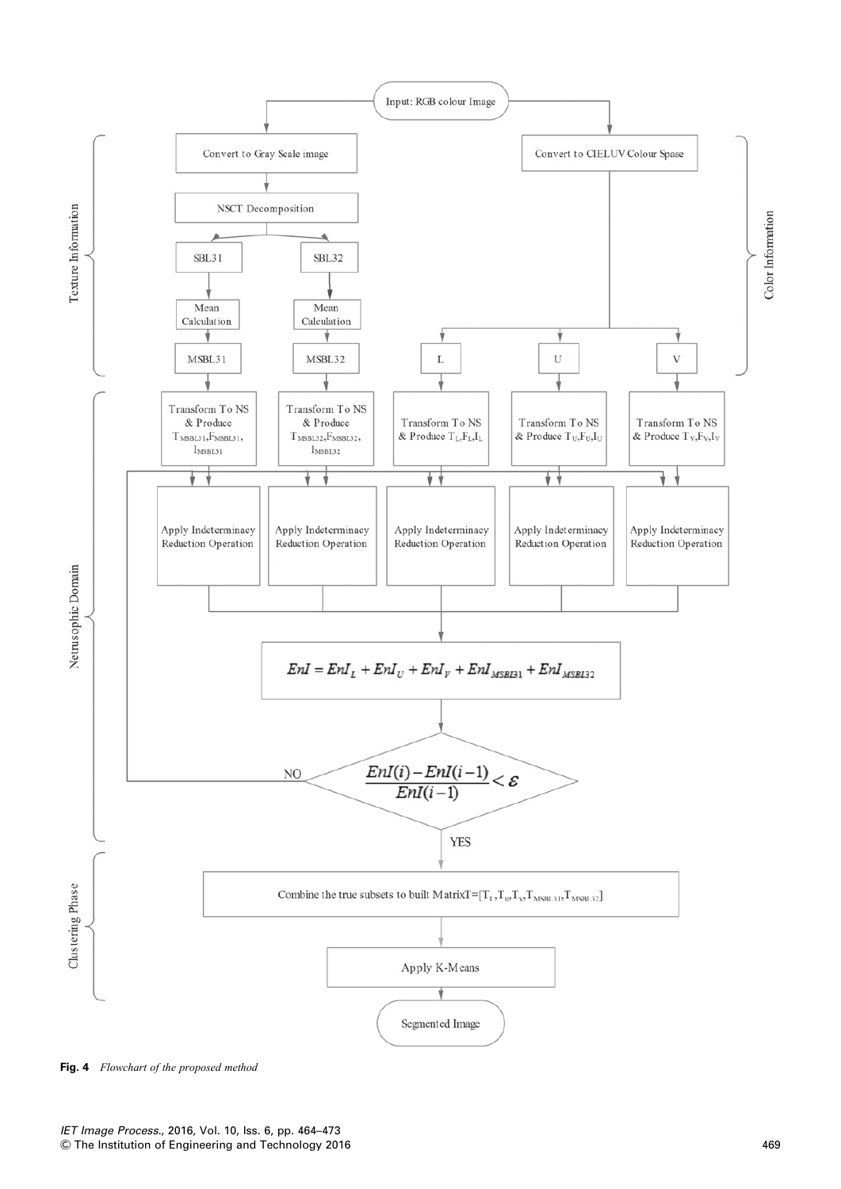

Fig. 4 Flowchart of the proposed method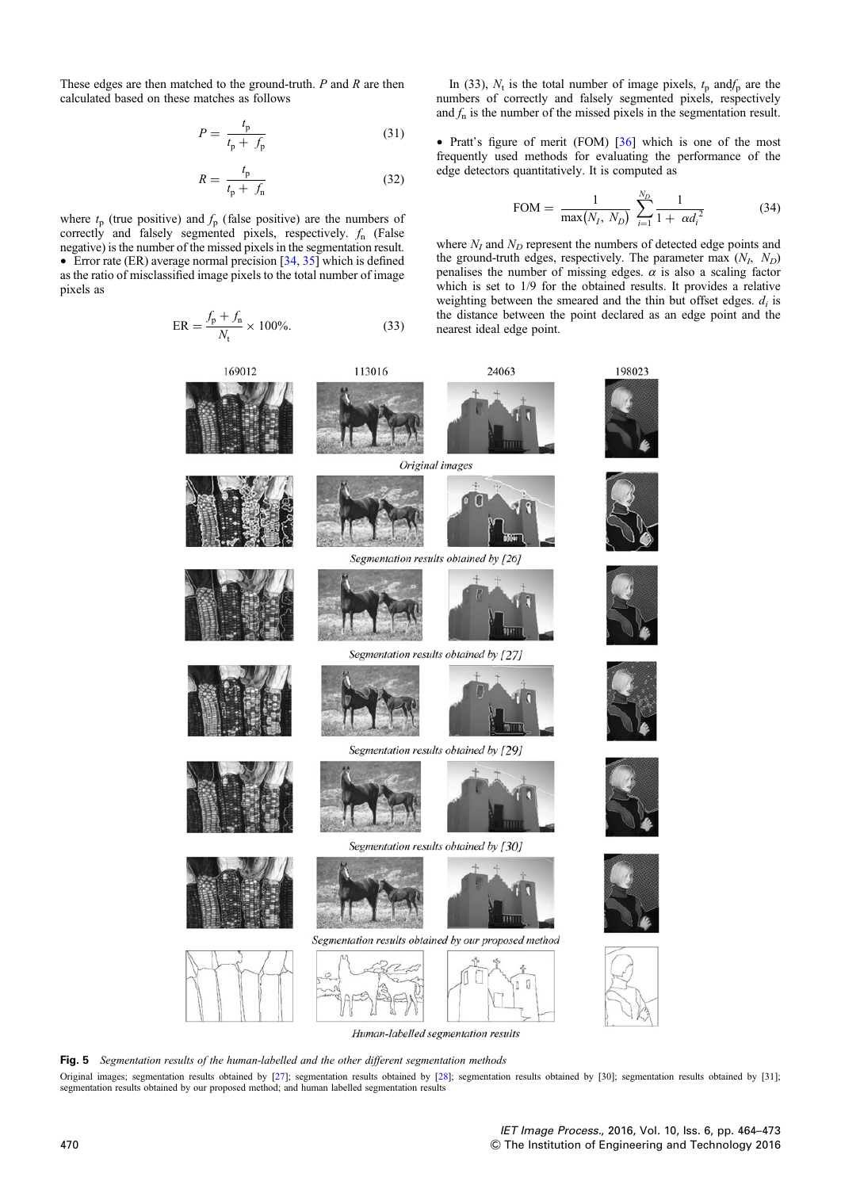These edges are then matched to the ground-truth.  $P$  and  $R$  are then calculated based on these matches as follows

$$
P = \frac{t_{\rm p}}{t_{\rm p} + f_{\rm p}}\tag{31}
$$

$$
R = \frac{t_{\rm p}}{t_{\rm p} + f_{\rm n}}\tag{32}
$$

where  $t_p$  (true positive) and  $f_p$  (false positive) are the numbers of correctly and falsely segmented pixels, respectively.  $f_n$  (False negative) is the number of the missed pixels in the segmentation result.  $\bullet$  Error rate (ER) average normal precision [34, 35] which is defined as the ratio of misclassified image pixels to the total number of image pixels as

$$
ER = \frac{f_p + f_n}{N_t} \times 100\%.
$$
 (33)

In (33),  $N_t$  is the total number of image pixels,  $t_p$  and  $f_p$  are the numbers of correctly and falsely segmented pixels, respectively and  $f_n$  is the number of the missed pixels in the segmentation result.

• Pratt's figure of merit (FOM)  $[36]$  which is one of the most frequently used methods for evaluating the performance of the edge detectors quantitatively. It is computed as

FOM = 
$$
\frac{1}{\max(N_I, N_D)} \sum_{i=1}^{N_D} \frac{1}{1 + \alpha d_i^2}
$$
 (34)

where  $N_I$  and  $N_D$  represent the numbers of detected edge points and the ground-truth edges, respectively. The parameter max  $(N_I, N_D)$ penalises the number of missing edges.  $\alpha$  is also a scaling factor which is set to  $1/9$  for the obtained results. It provides a relative weighting between the smeared and the thin but offset edges.  $d_i$  is the distance between the point declared as an edge point and the nearest ideal edge point.



Human-labelled segmentation results

Fig. 5 Segmentation results of the human-labelled and the other different segmentation methods

Original images; segmentation results obtained by [27]; segmentation results obtained by [28]; segmentation results obtained by [30]; segmentation results obtained by [31]; segmentation results obtained by our proposed method; and human labelled segmentation results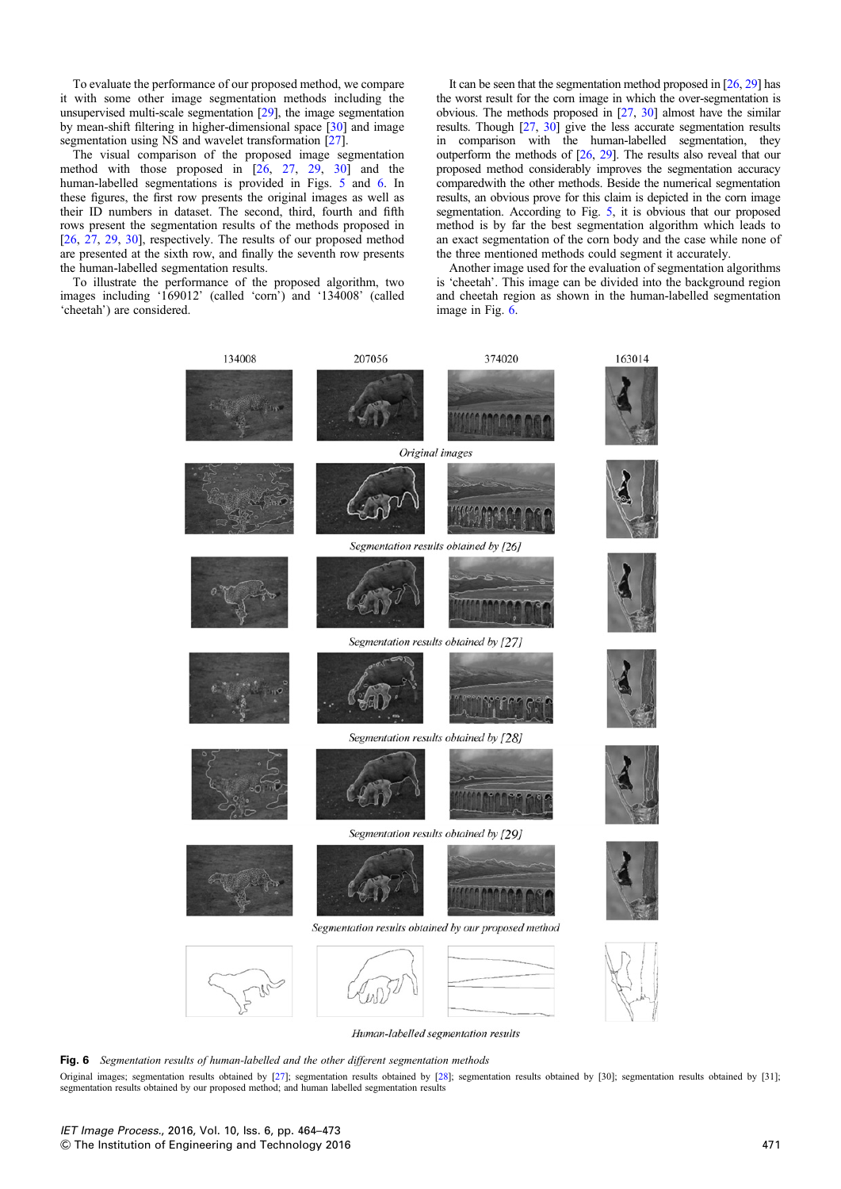To evaluate the performance of our proposed method, we compare it with some other image segmentation methods including the unsupervised multi-scale segmentation [29], the image segmentation by mean-shift filtering in higher-dimensional space [30] and image segmentation using NS and wavelet transformation [27].

The visual comparison of the proposed image segmentation method with those proposed in [26, 27, 29, 30] and the human-labelled segmentations is provided in Figs. 5 and 6. In these figures, the first row presents the original images as well as their ID numbers in dataset. The second, third, fourth and fifth rows present the segmentation results of the methods proposed in [26, 27, 29, 30], respectively. The results of our proposed method are presented at the sixth row, and finally the seventh row presents the human-labelled segmentation results.

To illustrate the performance of the proposed algorithm, two images including '169012' (called 'corn') and '134008' (called 'cheetah') are considered.

It can be seen that the segmentation method proposed in [26, 29] has the worst result for the corn image in which the over-segmentation is obvious. The methods proposed in [27, 30] almost have the similar results. Though [27, 30] give the less accurate segmentation results in comparison with the human-labelled segmentation, they outperform the methods of [26, 29]. The results also reveal that our proposed method considerably improves the segmentation accuracy comparedwith the other methods. Beside the numerical segmentation results, an obvious prove for this claim is depicted in the corn image segmentation. According to Fig. 5, it is obvious that our proposed method is by far the best segmentation algorithm which leads to an exact segmentation of the corn body and the case while none of the three mentioned methods could segment it accurately.

Another image used for the evaluation of segmentation algorithms is 'cheetah'. This image can be divided into the background region and cheetah region as shown in the human-labelled segmentation image in Fig. 6.



Human-labelled segmentation results

Fig. 6 Segmentation results of human-labelled and the other different segmentation methods

Original images; segmentation results obtained by [27]; segmentation results obtained by [28]; segmentation results obtained by [30]; segmentation results obtained by [31]; segmentation results obtained by our proposed method; and human labelled segmentation results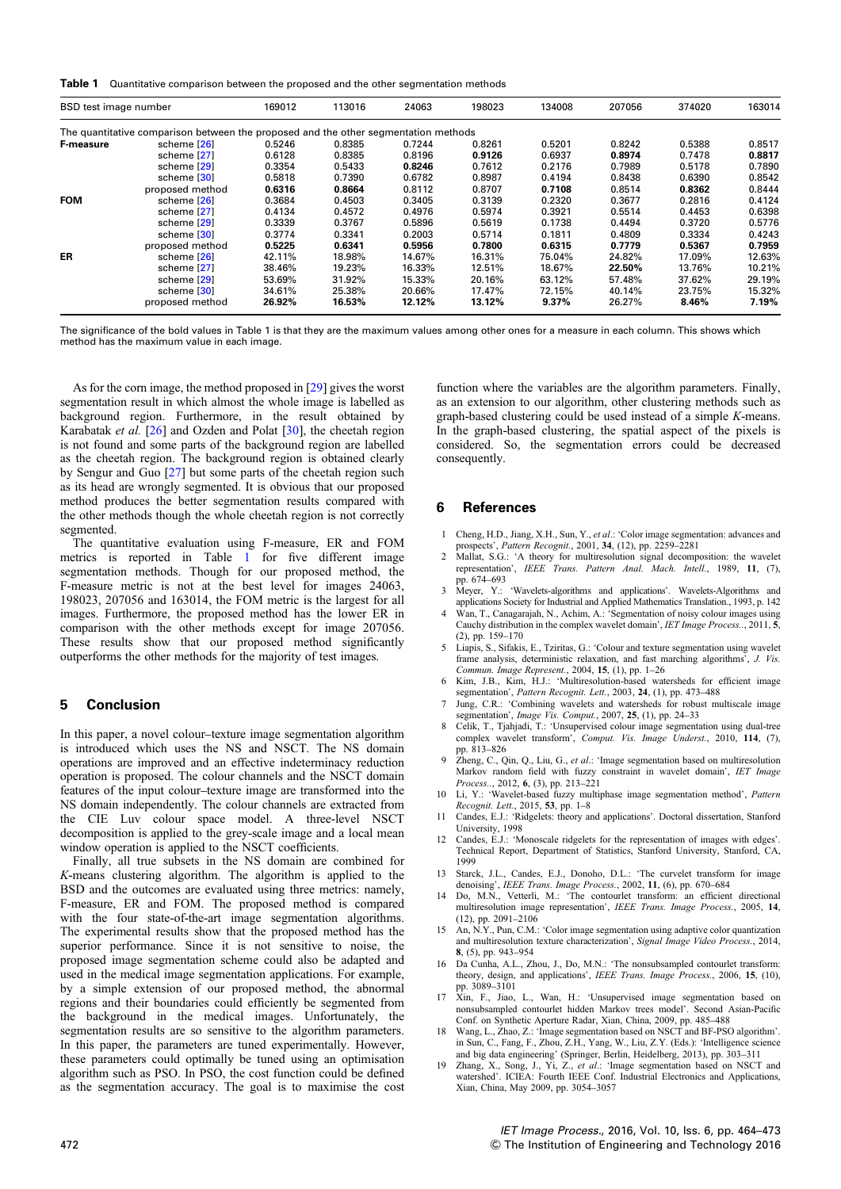Table 1 Quantitative comparison between the proposed and the other segmentation methods

| BSD test image number                                                               |                 | 169012 | 113016 | 24063  | 198023 | 134008   | 207056 | 374020 | 163014 |
|-------------------------------------------------------------------------------------|-----------------|--------|--------|--------|--------|----------|--------|--------|--------|
| The quantitative comparison between the proposed and the other segmentation methods |                 |        |        |        |        |          |        |        |        |
| <b>F-measure</b>                                                                    | scheme [26]     | 0.5246 | 0.8385 | 0.7244 | 0.8261 | 0.5201   | 0.8242 | 0.5388 | 0.8517 |
|                                                                                     | scheme [27]     | 0.6128 | 0.8385 | 0.8196 | 0.9126 | 0.6937   | 0.8974 | 0.7478 | 0.8817 |
|                                                                                     | scheme [29]     | 0.3354 | 0.5433 | 0.8246 | 0.7612 | 0.2176   | 0.7989 | 0.5178 | 0.7890 |
|                                                                                     | scheme [30]     | 0.5818 | 0.7390 | 0.6782 | 0.8987 | 0.4194   | 0.8438 | 0.6390 | 0.8542 |
|                                                                                     | proposed method | 0.6316 | 0.8664 | 0.8112 | 0.8707 | 0.7108   | 0.8514 | 0.8362 | 0.8444 |
| <b>FOM</b>                                                                          | scheme [26]     | 0.3684 | 0.4503 | 0.3405 | 0.3139 | 0.2320   | 0.3677 | 0.2816 | 0.4124 |
|                                                                                     | scheme [27]     | 0.4134 | 0.4572 | 0.4976 | 0.5974 | 0.3921   | 0.5514 | 0.4453 | 0.6398 |
|                                                                                     | scheme [29]     | 0.3339 | 0.3767 | 0.5896 | 0.5619 | 0.1738   | 0.4494 | 0.3720 | 0.5776 |
|                                                                                     | scheme [30]     | 0.3774 | 0.3341 | 0.2003 | 0.5714 | 0.1811   | 0.4809 | 0.3334 | 0.4243 |
|                                                                                     | proposed method | 0.5225 | 0.6341 | 0.5956 | 0.7800 | 0.6315   | 0.7779 | 0.5367 | 0.7959 |
| <b>ER</b>                                                                           | scheme [26]     | 42.11% | 18.98% | 14.67% | 16.31% | 75.04%   | 24.82% | 17.09% | 12.63% |
|                                                                                     | scheme [27]     | 38.46% | 19.23% | 16.33% | 12.51% | 18.67%   | 22.50% | 13.76% | 10.21% |
|                                                                                     | scheme [29]     | 53.69% | 31.92% | 15.33% | 20.16% | 63.12%   | 57.48% | 37.62% | 29.19% |
|                                                                                     | scheme [30]     | 34.61% | 25.38% | 20.66% | 17.47% | 72.15%   | 40.14% | 23.75% | 15.32% |
|                                                                                     | proposed method | 26.92% | 16.53% | 12.12% | 13.12% | $9.37\%$ | 26.27% | 8.46%  | 7.19%  |

The significance of the bold values in Table 1 is that they are the maximum values among other ones for a measure in each column. This shows which method has the maximum value in each image.

As for the corn image, the method proposed in [29] gives the worst segmentation result in which almost the whole image is labelled as background region. Furthermore, in the result obtained by Karabatak et al. [26] and Ozden and Polat [30], the cheetah region is not found and some parts of the background region are labelled as the cheetah region. The background region is obtained clearly by Sengur and Guo [27] but some parts of the cheetah region such as its head are wrongly segmented. It is obvious that our proposed method produces the better segmentation results compared with the other methods though the whole cheetah region is not correctly segmented.

The quantitative evaluation using F-measure, ER and FOM metrics is reported in Table 1 for five different image segmentation methods. Though for our proposed method, the F-measure metric is not at the best level for images 24063, 198023, 207056 and 163014, the FOM metric is the largest for all images. Furthermore, the proposed method has the lower ER in comparison with the other methods except for image 207056. These results show that our proposed method significantly outperforms the other methods for the majority of test images.

## 5 Conclusion

In this paper, a novel colour–texture image segmentation algorithm is introduced which uses the NS and NSCT. The NS domain operations are improved and an effective indeterminacy reduction operation is proposed. The colour channels and the NSCT domain features of the input colour–texture image are transformed into the NS domain independently. The colour channels are extracted from the CIE Luv colour space model. A three-level NSCT decomposition is applied to the grey-scale image and a local mean window operation is applied to the NSCT coefficients.

Finally, all true subsets in the NS domain are combined for K-means clustering algorithm. The algorithm is applied to the BSD and the outcomes are evaluated using three metrics: namely, F-measure, ER and FOM. The proposed method is compared with the four state-of-the-art image segmentation algorithms. The experimental results show that the proposed method has the superior performance. Since it is not sensitive to noise, the proposed image segmentation scheme could also be adapted and used in the medical image segmentation applications. For example, by a simple extension of our proposed method, the abnormal regions and their boundaries could efficiently be segmented from the background in the medical images. Unfortunately, the segmentation results are so sensitive to the algorithm parameters. In this paper, the parameters are tuned experimentally. However, these parameters could optimally be tuned using an optimisation algorithm such as PSO. In PSO, the cost function could be defined as the segmentation accuracy. The goal is to maximise the cost

function where the variables are the algorithm parameters. Finally, as an extension to our algorithm, other clustering methods such as graph-based clustering could be used instead of a simple K-means. In the graph-based clustering, the spatial aspect of the pixels is considered. So, the segmentation errors could be decreased consequently.

#### 6 References

- 1 Cheng, H.D., Jiang, X.H., Sun, Y., et al.: 'Color image segmentation: advances and prospects', Pattern Recognit., 2001, 34, (12), pp. 2259–2281
- 2 Mallat, S.G.: 'A theory for multiresolution signal decomposition: the wavelet representation', IEEE Trans. Pattern Anal. Mach. Intell., 1989, 11, (7),
- pp. 674–693 3 Meyer, Y.: 'Wavelets-algorithms and applications'. Wavelets-Algorithms and applications Society for Industrial and Applied Mathematics Translation., 1993, p. 142
- Wan, T., Canagarajah, N., Achim, A.: 'Segmentation of noisy colour images using Cauchy distribution in the complex wavelet domain', IET Image Process.., 2011, 5, (2), pp. 159–170
- 5 Liapis, S., Sifakis, E., Tziritas, G.: 'Colour and texture segmentation using wavelet frame analysis, deterministic relaxation, and fast marching algorithms', J. Vis. Commun. Image Represent., 2004, 15, (1), pp. 1–26
- Kim, J.B., Kim, H.J.: 'Multiresolution-based watersheds for efficient image segmentation', Pattern Recognit. Lett., 2003, 24, (1), pp. 473-488
- Jung, C.R.: 'Combining wavelets and watersheds for robust multiscale image segmentation', *Image Vis. Comput.*, 2007, 25, (1), pp. 24–33<br>8 Celik, T., Tjahjadi, T.: 'Unsupervised colour image segmentation using dual-tree
- complex wavelet transform', Comput. Vis. Image Underst., 2010, 114, (7),
- pp. 813–826<br>9 Zheng, C., Qin, Q., Liu, G., et al.: 'Image segmentation based on multiresolution Markov random field with fuzzy constraint in wavelet domain', IET Image Process.., 2012, 6, (3), pp. 213–221<br>10 Li, Y.: 'Wavelet-based fuzzy multiphase image segmentation method', Pattern
- Recognit. Lett., 2015, 53, pp. 1–8
- 11 Candes, E.J.: 'Ridgelets: theory and applications'. Doctoral dissertation, Stanford University, 1998
- 12 Candes, E.J.: 'Monoscale ridgelets for the representation of images with edges'. Technical Report, Department of Statistics, Stanford University, Stanford, CA, 1999
- 13 Starck, J.L., Candes, E.J., Donoho, D.L.: 'The curvelet transform for image
- denoising', IEEE Trans. Image Process., 2002, 11, (6), pp. 670–684<br>14 Do, M.N., Vetterli, M.: 'The contourlet transform: an efficient directional multiresolution image representation', IEEE Trans. Image Process., 2005, 14, (12), pp. 2091–2106
- 15 An, N.Y., Pun, C.M.: 'Color image segmentation using adaptive color quantization and multiresolution texture characterization', Signal Image Video Process., 2014, 8, (5), pp. 943–954
- 16 Da Cunha, A.L., Zhou, J., Do, M.N.: 'The nonsubsampled contourlet transform: theory, design, and applications', IEEE Trans. Image Process., 2006, 15, (10), pp. 3089–3101
- 17 Xin, F., Jiao, L., Wan, H.: 'Unsupervised image segmentation based on nonsubsampled contourlet hidden Markov trees model'. Second Asian-Pacific Conf. on Synthetic Aperture Radar, Xian, China, 2009, pp. 485–488
- 18 Wang, L., Zhao, Z.: 'Image segmentation based on NSCT and BF-PSO algorithm'. in Sun, C., Fang, F., Zhou, Z.H., Yang, W., Liu, Z.Y. (Eds.): 'Intelligence science
- and big data engineering' (Springer, Berlin, Heidelberg, 2013), pp. 303-311<br>19 Zhang, X., Song, J., Yi, Z., et al.: 'Image segmentation based on NSCT and watershed'. ICIEA: Fourth IEEE Conf. Industrial Electronics and Applications, Xian, China, May 2009, pp. 3054–3057